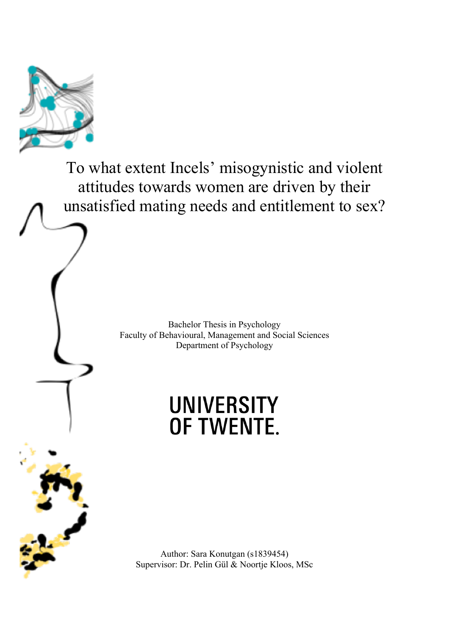

To what extent Incels' misogynistic and violent attitudes towards women are driven by their unsatisfied mating needs and entitlement to sex?

> Bachelor Thesis in Psychology Faculty of Behavioural, Management and Social Sciences Department of Psychology

# **UNIVERSITY** OF TWENTE.

Author: Sara Konutgan (s1839454) Supervisor: Dr. Pelin Gül & Noortje Kloos, MSc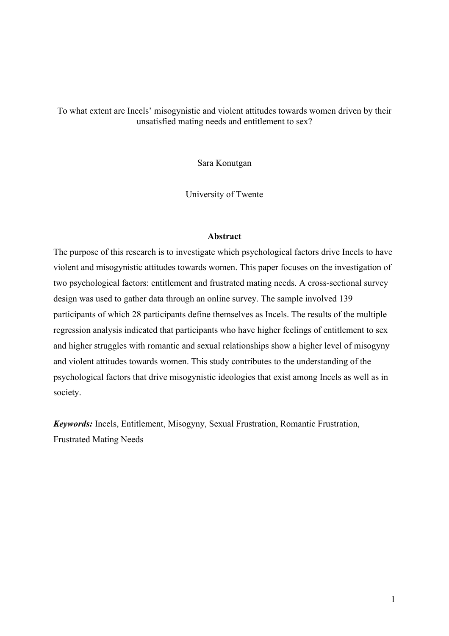To what extent are Incels' misogynistic and violent attitudes towards women driven by their unsatisfied mating needs and entitlement to sex?

Sara Konutgan

University of Twente

#### **Abstract**

The purpose of this research is to investigate which psychological factors drive Incels to have violent and misogynistic attitudes towards women. This paper focuses on the investigation of two psychological factors: entitlement and frustrated mating needs. A cross-sectional survey design was used to gather data through an online survey. The sample involved 139 participants of which 28 participants define themselves as Incels. The results of the multiple regression analysis indicated that participants who have higher feelings of entitlement to sex and higher struggles with romantic and sexual relationships show a higher level of misogyny and violent attitudes towards women. This study contributes to the understanding of the psychological factors that drive misogynistic ideologies that exist among Incels as well as in society.

*Keywords:* Incels, Entitlement, Misogyny, Sexual Frustration, Romantic Frustration, Frustrated Mating Needs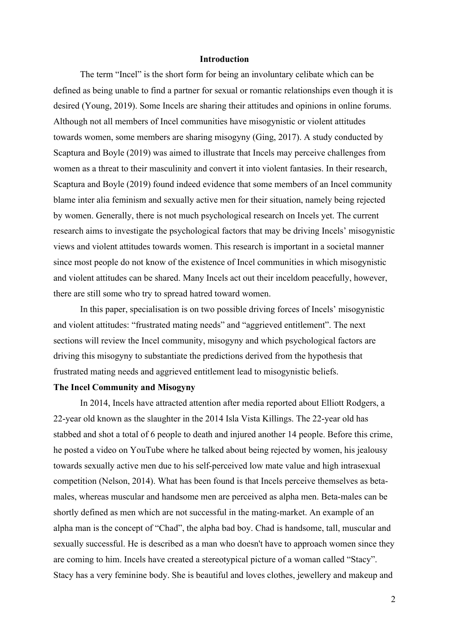#### **Introduction**

The term "Incel" is the short form for being an involuntary celibate which can be defined as being unable to find a partner for sexual or romantic relationships even though it is desired (Young, 2019). Some Incels are sharing their attitudes and opinions in online forums. Although not all members of Incel communities have misogynistic or violent attitudes towards women, some members are sharing misogyny (Ging, 2017). A study conducted by Scaptura and Boyle (2019) was aimed to illustrate that Incels may perceive challenges from women as a threat to their masculinity and convert it into violent fantasies. In their research, Scaptura and Boyle (2019) found indeed evidence that some members of an Incel community blame inter alia feminism and sexually active men for their situation, namely being rejected by women. Generally, there is not much psychological research on Incels yet. The current research aims to investigate the psychological factors that may be driving Incels' misogynistic views and violent attitudes towards women. This research is important in a societal manner since most people do not know of the existence of Incel communities in which misogynistic and violent attitudes can be shared. Many Incels act out their inceldom peacefully, however, there are still some who try to spread hatred toward women.

In this paper, specialisation is on two possible driving forces of Incels' misogynistic and violent attitudes: "frustrated mating needs" and "aggrieved entitlement". The next sections will review the Incel community, misogyny and which psychological factors are driving this misogyny to substantiate the predictions derived from the hypothesis that frustrated mating needs and aggrieved entitlement lead to misogynistic beliefs.

#### **The Incel Community and Misogyny**

In 2014, Incels have attracted attention after media reported about Elliott Rodgers, a 22-year old known as the slaughter in the 2014 Isla Vista Killings. The 22-year old has stabbed and shot a total of 6 people to death and injured another 14 people. Before this crime, he posted a video on YouTube where he talked about being rejected by women, his jealousy towards sexually active men due to his self-perceived low mate value and high intrasexual competition (Nelson, 2014). What has been found is that Incels perceive themselves as betamales, whereas muscular and handsome men are perceived as alpha men. Beta-males can be shortly defined as men which are not successful in the mating-market. An example of an alpha man is the concept of "Chad", the alpha bad boy. Chad is handsome, tall, muscular and sexually successful. He is described as a man who doesn't have to approach women since they are coming to him. Incels have created a stereotypical picture of a woman called "Stacy". Stacy has a very feminine body. She is beautiful and loves clothes, jewellery and makeup and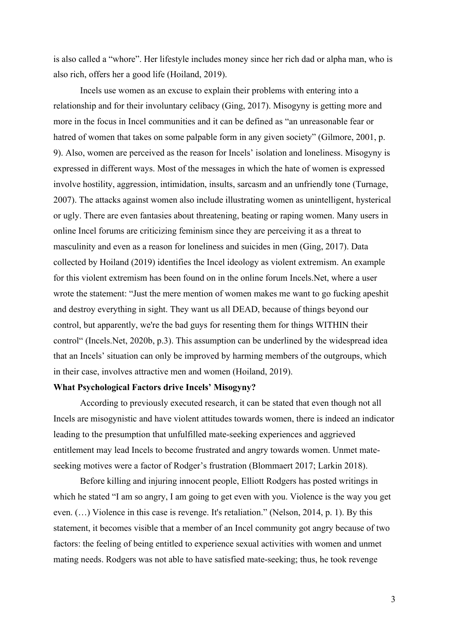is also called a "whore". Her lifestyle includes money since her rich dad or alpha man, who is also rich, offers her a good life (Hoiland, 2019).

Incels use women as an excuse to explain their problems with entering into a relationship and for their involuntary celibacy (Ging, 2017). Misogyny is getting more and more in the focus in Incel communities and it can be defined as "an unreasonable fear or hatred of women that takes on some palpable form in any given society" (Gilmore, 2001, p. 9). Also, women are perceived as the reason for Incels' isolation and loneliness. Misogyny is expressed in different ways. Most of the messages in which the hate of women is expressed involve hostility, aggression, intimidation, insults, sarcasm and an unfriendly tone (Turnage, 2007). The attacks against women also include illustrating women as unintelligent, hysterical or ugly. There are even fantasies about threatening, beating or raping women. Many users in online Incel forums are criticizing feminism since they are perceiving it as a threat to masculinity and even as a reason for loneliness and suicides in men (Ging, 2017). Data collected by Hoiland (2019) identifies the Incel ideology as violent extremism. An example for this violent extremism has been found on in the online forum Incels.Net, where a user wrote the statement: "Just the mere mention of women makes me want to go fuсking apeshit and destroy everything in sight. They want us all DEAD, because of things beyond our control, but apparently, we're the bad guys for resenting them for things WITHIN their control" (Incels.Net, 2020b, p.3). This assumption can be underlined by the widespread idea that an Incels' situation can only be improved by harming members of the outgroups, which in their case, involves attractive men and women (Hoiland, 2019).

#### **What Psychological Factors drive Incels' Misogyny?**

According to previously executed research, it can be stated that even though not all Incels are misogynistic and have violent attitudes towards women, there is indeed an indicator leading to the presumption that unfulfilled mate-seeking experiences and aggrieved entitlement may lead Incels to become frustrated and angry towards women. Unmet mateseeking motives were a factor of Rodger's frustration (Blommaert 2017; Larkin 2018).

Before killing and injuring innocent people, Elliott Rodgers has posted writings in which he stated "I am so angry, I am going to get even with you. Violence is the way you get even. (…) Violence in this case is revenge. It's retaliation." (Nelson, 2014, p. 1). By this statement, it becomes visible that a member of an Incel community got angry because of two factors: the feeling of being entitled to experience sexual activities with women and unmet mating needs. Rodgers was not able to have satisfied mate-seeking; thus, he took revenge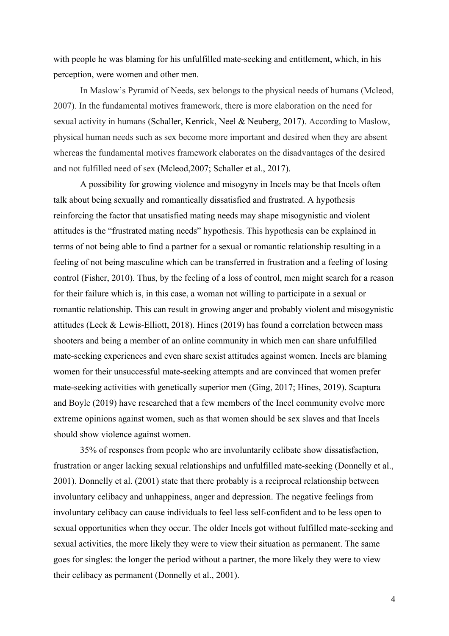with people he was blaming for his unfulfilled mate-seeking and entitlement, which, in his perception, were women and other men.

In Maslow's Pyramid of Needs, sex belongs to the physical needs of humans (Mcleod, 2007). In the fundamental motives framework, there is more elaboration on the need for sexual activity in humans (Schaller, Kenrick, Neel & Neuberg, 2017). According to Maslow, physical human needs such as sex become more important and desired when they are absent whereas the fundamental motives framework elaborates on the disadvantages of the desired and not fulfilled need of sex (Mcleod,2007; Schaller et al., 2017).

A possibility for growing violence and misogyny in Incels may be that Incels often talk about being sexually and romantically dissatisfied and frustrated. A hypothesis reinforcing the factor that unsatisfied mating needs may shape misogynistic and violent attitudes is the "frustrated mating needs" hypothesis. This hypothesis can be explained in terms of not being able to find a partner for a sexual or romantic relationship resulting in a feeling of not being masculine which can be transferred in frustration and a feeling of losing control (Fisher, 2010). Thus, by the feeling of a loss of control, men might search for a reason for their failure which is, in this case, a woman not willing to participate in a sexual or romantic relationship. This can result in growing anger and probably violent and misogynistic attitudes (Leek & Lewis-Elliott, 2018). Hines (2019) has found a correlation between mass shooters and being a member of an online community in which men can share unfulfilled mate-seeking experiences and even share sexist attitudes against women. Incels are blaming women for their unsuccessful mate-seeking attempts and are convinced that women prefer mate-seeking activities with genetically superior men (Ging, 2017; Hines, 2019). Scaptura and Boyle (2019) have researched that a few members of the Incel community evolve more extreme opinions against women, such as that women should be sex slaves and that Incels should show violence against women.

35% of responses from people who are involuntarily celibate show dissatisfaction, frustration or anger lacking sexual relationships and unfulfilled mate-seeking (Donnelly et al., 2001). Donnelly et al. (2001) state that there probably is a reciprocal relationship between involuntary celibacy and unhappiness, anger and depression. The negative feelings from involuntary celibacy can cause individuals to feel less self-confident and to be less open to sexual opportunities when they occur. The older Incels got without fulfilled mate-seeking and sexual activities, the more likely they were to view their situation as permanent. The same goes for singles: the longer the period without a partner, the more likely they were to view their celibacy as permanent (Donnelly et al., 2001).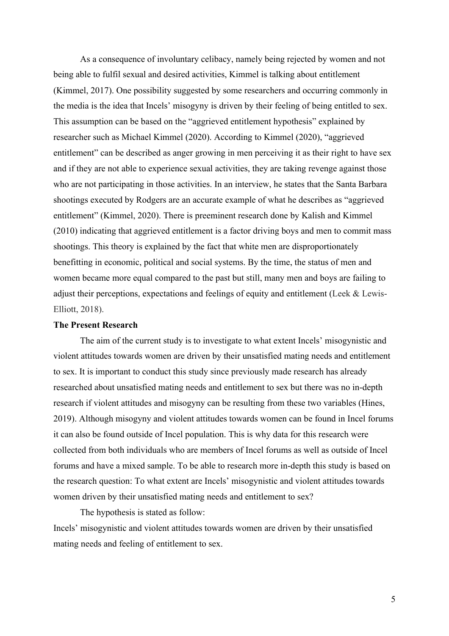As a consequence of involuntary celibacy, namely being rejected by women and not being able to fulfil sexual and desired activities, Kimmel is talking about entitlement (Kimmel, 2017). One possibility suggested by some researchers and occurring commonly in the media is the idea that Incels' misogyny is driven by their feeling of being entitled to sex. This assumption can be based on the "aggrieved entitlement hypothesis" explained by researcher such as Michael Kimmel (2020). According to Kimmel (2020), "aggrieved entitlement" can be described as anger growing in men perceiving it as their right to have sex and if they are not able to experience sexual activities, they are taking revenge against those who are not participating in those activities. In an interview, he states that the Santa Barbara shootings executed by Rodgers are an accurate example of what he describes as "aggrieved entitlement" (Kimmel, 2020). There is preeminent research done by Kalish and Kimmel (2010) indicating that aggrieved entitlement is a factor driving boys and men to commit mass shootings. This theory is explained by the fact that white men are disproportionately benefitting in economic, political and social systems. By the time, the status of men and women became more equal compared to the past but still, many men and boys are failing to adjust their perceptions, expectations and feelings of equity and entitlement (Leek & Lewis-Elliott, 2018).

#### **The Present Research**

The aim of the current study is to investigate to what extent Incels' misogynistic and violent attitudes towards women are driven by their unsatisfied mating needs and entitlement to sex. It is important to conduct this study since previously made research has already researched about unsatisfied mating needs and entitlement to sex but there was no in-depth research if violent attitudes and misogyny can be resulting from these two variables (Hines, 2019). Although misogyny and violent attitudes towards women can be found in Incel forums it can also be found outside of Incel population. This is why data for this research were collected from both individuals who are members of Incel forums as well as outside of Incel forums and have a mixed sample. To be able to research more in-depth this study is based on the research question: To what extent are Incels' misogynistic and violent attitudes towards women driven by their unsatisfied mating needs and entitlement to sex?

The hypothesis is stated as follow:

Incels' misogynistic and violent attitudes towards women are driven by their unsatisfied mating needs and feeling of entitlement to sex.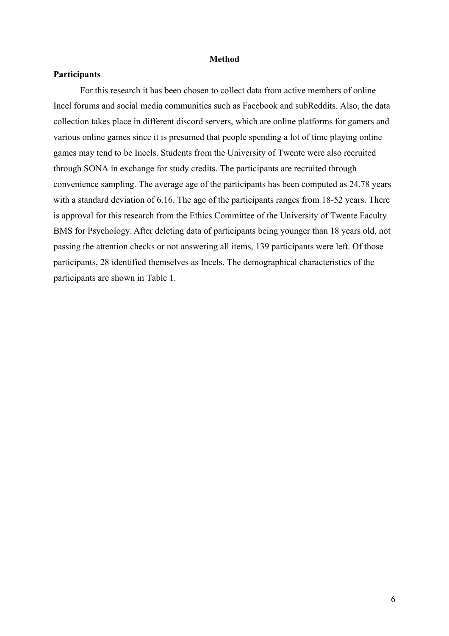#### **Method**

#### **Participants**

For this research it has been chosen to collect data from active members of online Incel forums and social media communities such as Facebook and subReddits. Also, the data collection takes place in different discord servers, which are online platforms for gamers and various online games since it is presumed that people spending a lot of time playing online games may tend to be Incels. Students from the University of Twente were also recruited through SONA in exchange for study credits. The participants are recruited through convenience sampling. The average age of the participants has been computed as 24.78 years with a standard deviation of 6.16. The age of the participants ranges from 18-52 years. There is approval for this research from the Ethics Committee of the University of Twente Faculty BMS for Psychology. After deleting data of participants being younger than 18 years old, not passing the attention checks or not answering all items, 139 participants were left. Of those participants, 28 identified themselves as Incels. The demographical characteristics of the participants are shown in Table 1.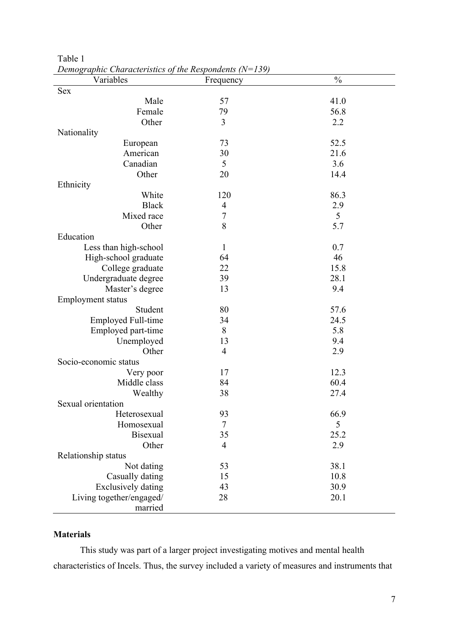| Variables                 | $D$ chographic Characteristics of the Kesponaents (18–157)<br>Frequency | $\frac{0}{0}$ |
|---------------------------|-------------------------------------------------------------------------|---------------|
| Sex                       |                                                                         |               |
| Male                      | 57                                                                      | 41.0          |
| Female                    | 79                                                                      | 56.8          |
| Other                     | $\overline{3}$                                                          | 2.2           |
| Nationality               |                                                                         |               |
| European                  | 73                                                                      | 52.5          |
| American                  | 30                                                                      | 21.6          |
| Canadian                  | 5                                                                       | 3.6           |
| Other                     | 20                                                                      | 14.4          |
| Ethnicity                 |                                                                         |               |
| White                     | 120                                                                     | 86.3          |
| <b>Black</b>              | 4                                                                       | 2.9           |
| Mixed race                | $\boldsymbol{7}$                                                        | 5             |
| Other                     | 8                                                                       | 5.7           |
| Education                 |                                                                         |               |
| Less than high-school     | $\mathbf{1}$                                                            | 0.7           |
| High-school graduate      | 64                                                                      | 46            |
| College graduate          | 22                                                                      | 15.8          |
| Undergraduate degree      | 39                                                                      | 28.1          |
| Master's degree           | 13                                                                      | 9.4           |
| <b>Employment status</b>  |                                                                         |               |
| Student                   | 80                                                                      | 57.6          |
| <b>Employed Full-time</b> | 34                                                                      | 24.5          |
| Employed part-time        | 8                                                                       | 5.8           |
| Unemployed                | 13                                                                      | 9.4           |
| Other                     | $\overline{4}$                                                          | 2.9           |
| Socio-economic status     |                                                                         |               |
| Very poor                 | 17                                                                      | 12.3          |
| Middle class              | 84                                                                      | 60.4          |
| Wealthy                   | 38                                                                      | 27.4          |
| Sexual orientation        |                                                                         |               |
| Heterosexual              | 93                                                                      | 66.9          |
| Homosexual                | $\tau$                                                                  | 5             |
| <b>Bisexual</b>           | 35                                                                      | 25.2          |
| Other                     | $\overline{4}$                                                          | 2.9           |
| Relationship status       |                                                                         |               |
| Not dating                | 53                                                                      | 38.1          |
| Casually dating           | 15                                                                      | 10.8          |
| <b>Exclusively dating</b> | 43                                                                      | 30.9          |
| Living together/engaged/  | 28                                                                      | 20.1          |
| married                   |                                                                         |               |

Table 1 *Demographic Characteristics of the Respondents (N=139)*

### **Materials**

This study was part of a larger project investigating motives and mental health characteristics of Incels. Thus, the survey included a variety of measures and instruments that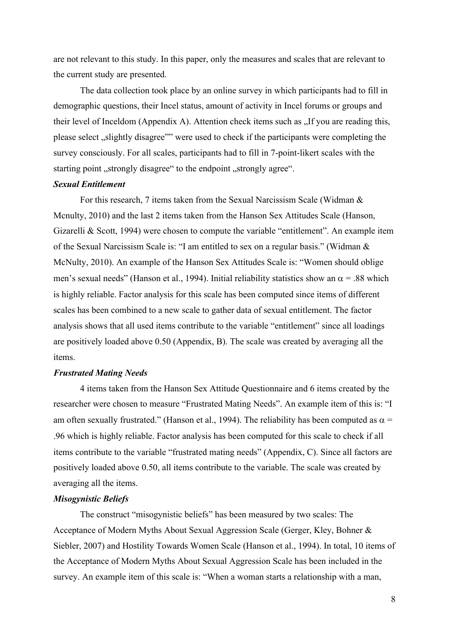are not relevant to this study. In this paper, only the measures and scales that are relevant to the current study are presented.

The data collection took place by an online survey in which participants had to fill in demographic questions, their Incel status, amount of activity in Incel forums or groups and their level of Inceldom (Appendix A). Attention check items such as  $\Lambda$  If you are reading this, please select , slightly disagree"" were used to check if the participants were completing the survey consciously. For all scales, participants had to fill in 7-point-likert scales with the starting point , strongly disagree" to the endpoint , strongly agree".

#### *Sexual Entitlement*

For this research, 7 items taken from the Sexual Narcissism Scale (Widman & Mcnulty, 2010) and the last 2 items taken from the Hanson Sex Attitudes Scale (Hanson, Gizarelli & Scott, 1994) were chosen to compute the variable "entitlement". An example item of the Sexual Narcissism Scale is: "I am entitled to sex on a regular basis." (Widman & McNulty, 2010). An example of the Hanson Sex Attitudes Scale is: "Women should oblige men's sexual needs" (Hanson et al., 1994). Initial reliability statistics show an  $\alpha$  = .88 which is highly reliable. Factor analysis for this scale has been computed since items of different scales has been combined to a new scale to gather data of sexual entitlement. The factor analysis shows that all used items contribute to the variable "entitlement" since all loadings are positively loaded above 0.50 (Appendix, B). The scale was created by averaging all the items.

#### *Frustrated Mating Needs*

4 items taken from the Hanson Sex Attitude Questionnaire and 6 items created by the researcher were chosen to measure "Frustrated Mating Needs". An example item of this is: "I am often sexually frustrated." (Hanson et al., 1994). The reliability has been computed as  $\alpha$  = .96 which is highly reliable. Factor analysis has been computed for this scale to check if all items contribute to the variable "frustrated mating needs" (Appendix, C). Since all factors are positively loaded above 0.50, all items contribute to the variable. The scale was created by averaging all the items.

#### *Misogynistic Beliefs*

The construct "misogynistic beliefs" has been measured by two scales: The Acceptance of Modern Myths About Sexual Aggression Scale (Gerger, Kley, Bohner & Siebler, 2007) and Hostility Towards Women Scale (Hanson et al., 1994). In total, 10 items of the Acceptance of Modern Myths About Sexual Aggression Scale has been included in the survey. An example item of this scale is: "When a woman starts a relationship with a man,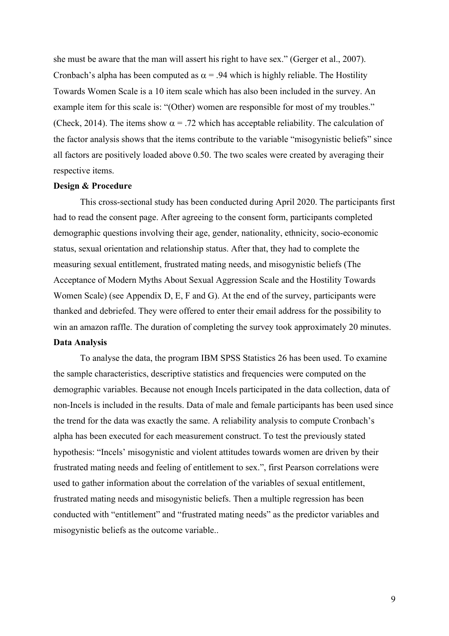she must be aware that the man will assert his right to have sex." (Gerger et al., 2007). Cronbach's alpha has been computed as  $\alpha$  = .94 which is highly reliable. The Hostility Towards Women Scale is a 10 item scale which has also been included in the survey. An example item for this scale is: "(Other) women are responsible for most of my troubles." (Check, 2014). The items show  $\alpha = .72$  which has acceptable reliability. The calculation of the factor analysis shows that the items contribute to the variable "misogynistic beliefs" since all factors are positively loaded above 0.50. The two scales were created by averaging their respective items.

#### **Design & Procedure**

This cross-sectional study has been conducted during April 2020. The participants first had to read the consent page. After agreeing to the consent form, participants completed demographic questions involving their age, gender, nationality, ethnicity, socio-economic status, sexual orientation and relationship status. After that, they had to complete the measuring sexual entitlement, frustrated mating needs, and misogynistic beliefs (The Acceptance of Modern Myths About Sexual Aggression Scale and the Hostility Towards Women Scale) (see Appendix D, E, F and G). At the end of the survey, participants were thanked and debriefed. They were offered to enter their email address for the possibility to win an amazon raffle. The duration of completing the survey took approximately 20 minutes. **Data Analysis**

To analyse the data, the program IBM SPSS Statistics 26 has been used. To examine the sample characteristics, descriptive statistics and frequencies were computed on the demographic variables. Because not enough Incels participated in the data collection, data of non-Incels is included in the results. Data of male and female participants has been used since the trend for the data was exactly the same. A reliability analysis to compute Cronbach's alpha has been executed for each measurement construct. To test the previously stated hypothesis: "Incels' misogynistic and violent attitudes towards women are driven by their frustrated mating needs and feeling of entitlement to sex.", first Pearson correlations were used to gather information about the correlation of the variables of sexual entitlement, frustrated mating needs and misogynistic beliefs. Then a multiple regression has been conducted with "entitlement" and "frustrated mating needs" as the predictor variables and misogynistic beliefs as the outcome variable..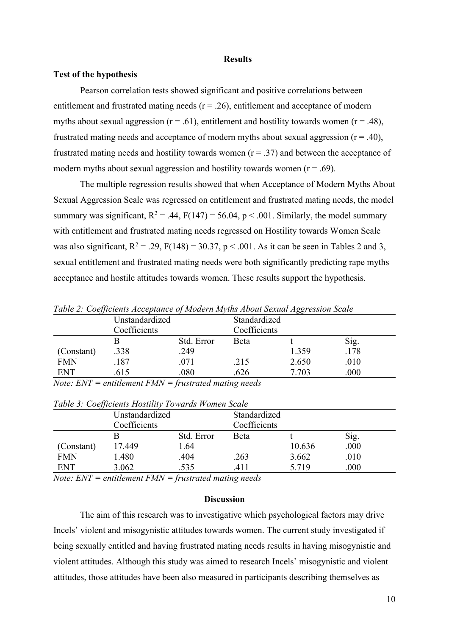#### **Results**

#### **Test of the hypothesis**

Pearson correlation tests showed significant and positive correlations between entitlement and frustrated mating needs  $(r = .26)$ , entitlement and acceptance of modern myths about sexual aggression ( $r = .61$ ), entitlement and hostility towards women ( $r = .48$ ), frustrated mating needs and acceptance of modern myths about sexual aggression  $(r = .40)$ , frustrated mating needs and hostility towards women  $(r = .37)$  and between the acceptance of modern myths about sexual aggression and hostility towards women  $(r = .69)$ .

The multiple regression results showed that when Acceptance of Modern Myths About Sexual Aggression Scale was regressed on entitlement and frustrated mating needs, the model summary was significant,  $R^2 = .44$ ,  $F(147) = 56.04$ ,  $p < .001$ . Similarly, the model summary with entitlement and frustrated mating needs regressed on Hostility towards Women Scale was also significant,  $R^2 = .29$ ,  $F(148) = 30.37$ ,  $p < .001$ . As it can be seen in Tables 2 and 3, sexual entitlement and frustrated mating needs were both significantly predicting rape myths acceptance and hostile attitudes towards women. These results support the hypothesis.

| $\cdot$    |                |            |              | ပပ    |      |
|------------|----------------|------------|--------------|-------|------|
|            | Unstandardized |            | Standardized |       |      |
|            | Coefficients   |            | Coefficients |       |      |
|            |                | Std. Error | <b>B</b> eta |       | Sig. |
| (Constant) | .338           | .249       |              | 1.359 | .178 |
| <b>FMN</b> | .187           | .071       | .215         | 2.650 | .010 |
| ENT        | .615           | .080       | .626         | 7.703 | .000 |
|            |                |            |              |       |      |

*Table 2: Coefficients Acceptance of Modern Myths About Sexual Aggression Scale*

*Note: ENT = entitlement FMN = frustrated mating needs*

|            | Unstandardized |            | Standardized |        |      |
|------------|----------------|------------|--------------|--------|------|
|            | Coefficients   |            | Coefficients |        |      |
|            |                | Std. Error | <b>B</b> eta |        | Sig. |
| (Constant) | 17.449         | 1.64       |              | 10.636 | .000 |
| <b>FMN</b> | 1.480          | .404       | .263         | 3.662  | .010 |
| <b>ENT</b> | 3.062          | .535       | .411         | 5.719  | .000 |

*Table 3: Coefficients Hostility Towards Women Scale*

*Note: ENT = entitlement FMN = frustrated mating needs*

#### **Discussion**

The aim of this research was to investigative which psychological factors may drive Incels' violent and misogynistic attitudes towards women. The current study investigated if being sexually entitled and having frustrated mating needs results in having misogynistic and violent attitudes. Although this study was aimed to research Incels' misogynistic and violent attitudes, those attitudes have been also measured in participants describing themselves as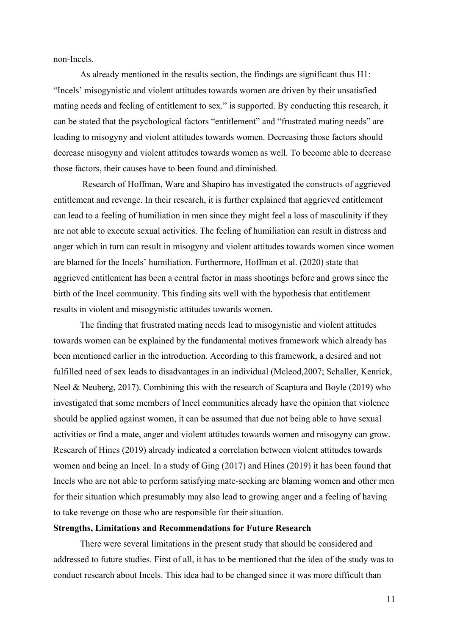non-Incels.

As already mentioned in the results section, the findings are significant thus H1: "Incels' misogynistic and violent attitudes towards women are driven by their unsatisfied mating needs and feeling of entitlement to sex." is supported. By conducting this research, it can be stated that the psychological factors "entitlement" and "frustrated mating needs" are leading to misogyny and violent attitudes towards women. Decreasing those factors should decrease misogyny and violent attitudes towards women as well. To become able to decrease those factors, their causes have to been found and diminished.

Research of Hoffman, Ware and Shapiro has investigated the constructs of aggrieved entitlement and revenge. In their research, it is further explained that aggrieved entitlement can lead to a feeling of humiliation in men since they might feel a loss of masculinity if they are not able to execute sexual activities. The feeling of humiliation can result in distress and anger which in turn can result in misogyny and violent attitudes towards women since women are blamed for the Incels' humiliation. Furthermore, Hoffman et al. (2020) state that aggrieved entitlement has been a central factor in mass shootings before and grows since the birth of the Incel community. This finding sits well with the hypothesis that entitlement results in violent and misogynistic attitudes towards women.

The finding that frustrated mating needs lead to misogynistic and violent attitudes towards women can be explained by the fundamental motives framework which already has been mentioned earlier in the introduction. According to this framework, a desired and not fulfilled need of sex leads to disadvantages in an individual (Mcleod,2007; Schaller, Kenrick, Neel & Neuberg, 2017). Combining this with the research of Scaptura and Boyle (2019) who investigated that some members of Incel communities already have the opinion that violence should be applied against women, it can be assumed that due not being able to have sexual activities or find a mate, anger and violent attitudes towards women and misogyny can grow. Research of Hines (2019) already indicated a correlation between violent attitudes towards women and being an Incel. In a study of Ging (2017) and Hines (2019) it has been found that Incels who are not able to perform satisfying mate-seeking are blaming women and other men for their situation which presumably may also lead to growing anger and a feeling of having to take revenge on those who are responsible for their situation.

#### **Strengths, Limitations and Recommendations for Future Research**

There were several limitations in the present study that should be considered and addressed to future studies. First of all, it has to be mentioned that the idea of the study was to conduct research about Incels. This idea had to be changed since it was more difficult than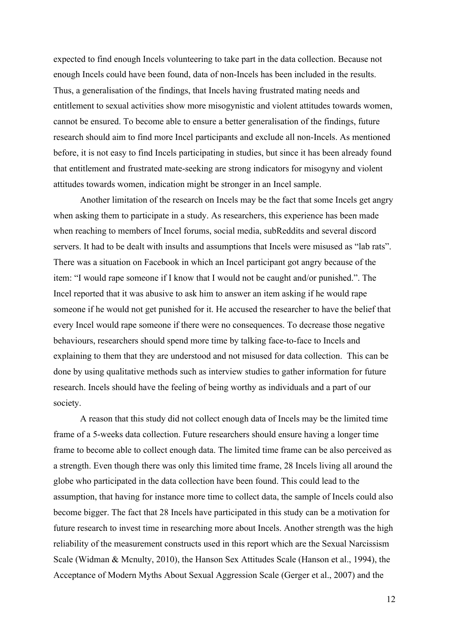expected to find enough Incels volunteering to take part in the data collection. Because not enough Incels could have been found, data of non-Incels has been included in the results. Thus, a generalisation of the findings, that Incels having frustrated mating needs and entitlement to sexual activities show more misogynistic and violent attitudes towards women, cannot be ensured. To become able to ensure a better generalisation of the findings, future research should aim to find more Incel participants and exclude all non-Incels. As mentioned before, it is not easy to find Incels participating in studies, but since it has been already found that entitlement and frustrated mate-seeking are strong indicators for misogyny and violent attitudes towards women, indication might be stronger in an Incel sample.

Another limitation of the research on Incels may be the fact that some Incels get angry when asking them to participate in a study. As researchers, this experience has been made when reaching to members of Incel forums, social media, subReddits and several discord servers. It had to be dealt with insults and assumptions that Incels were misused as "lab rats". There was a situation on Facebook in which an Incel participant got angry because of the item: "I would rape someone if I know that I would not be caught and/or punished.". The Incel reported that it was abusive to ask him to answer an item asking if he would rape someone if he would not get punished for it. He accused the researcher to have the belief that every Incel would rape someone if there were no consequences. To decrease those negative behaviours, researchers should spend more time by talking face-to-face to Incels and explaining to them that they are understood and not misused for data collection. This can be done by using qualitative methods such as interview studies to gather information for future research. Incels should have the feeling of being worthy as individuals and a part of our society.

A reason that this study did not collect enough data of Incels may be the limited time frame of a 5-weeks data collection. Future researchers should ensure having a longer time frame to become able to collect enough data. The limited time frame can be also perceived as a strength. Even though there was only this limited time frame, 28 Incels living all around the globe who participated in the data collection have been found. This could lead to the assumption, that having for instance more time to collect data, the sample of Incels could also become bigger. The fact that 28 Incels have participated in this study can be a motivation for future research to invest time in researching more about Incels. Another strength was the high reliability of the measurement constructs used in this report which are the Sexual Narcissism Scale (Widman & Mcnulty, 2010), the Hanson Sex Attitudes Scale (Hanson et al., 1994), the Acceptance of Modern Myths About Sexual Aggression Scale (Gerger et al., 2007) and the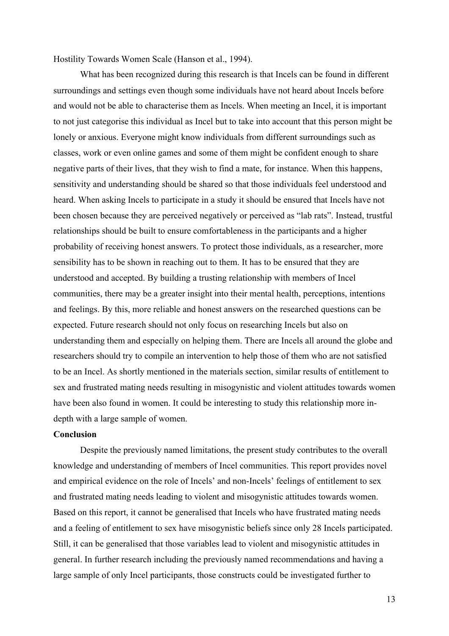Hostility Towards Women Scale (Hanson et al., 1994).

What has been recognized during this research is that Incels can be found in different surroundings and settings even though some individuals have not heard about Incels before and would not be able to characterise them as Incels. When meeting an Incel, it is important to not just categorise this individual as Incel but to take into account that this person might be lonely or anxious. Everyone might know individuals from different surroundings such as classes, work or even online games and some of them might be confident enough to share negative parts of their lives, that they wish to find a mate, for instance. When this happens, sensitivity and understanding should be shared so that those individuals feel understood and heard. When asking Incels to participate in a study it should be ensured that Incels have not been chosen because they are perceived negatively or perceived as "lab rats". Instead, trustful relationships should be built to ensure comfortableness in the participants and a higher probability of receiving honest answers. To protect those individuals, as a researcher, more sensibility has to be shown in reaching out to them. It has to be ensured that they are understood and accepted. By building a trusting relationship with members of Incel communities, there may be a greater insight into their mental health, perceptions, intentions and feelings. By this, more reliable and honest answers on the researched questions can be expected. Future research should not only focus on researching Incels but also on understanding them and especially on helping them. There are Incels all around the globe and researchers should try to compile an intervention to help those of them who are not satisfied to be an Incel. As shortly mentioned in the materials section, similar results of entitlement to sex and frustrated mating needs resulting in misogynistic and violent attitudes towards women have been also found in women. It could be interesting to study this relationship more indepth with a large sample of women.

#### **Conclusion**

Despite the previously named limitations, the present study contributes to the overall knowledge and understanding of members of Incel communities. This report provides novel and empirical evidence on the role of Incels' and non-Incels' feelings of entitlement to sex and frustrated mating needs leading to violent and misogynistic attitudes towards women. Based on this report, it cannot be generalised that Incels who have frustrated mating needs and a feeling of entitlement to sex have misogynistic beliefs since only 28 Incels participated. Still, it can be generalised that those variables lead to violent and misogynistic attitudes in general. In further research including the previously named recommendations and having a large sample of only Incel participants, those constructs could be investigated further to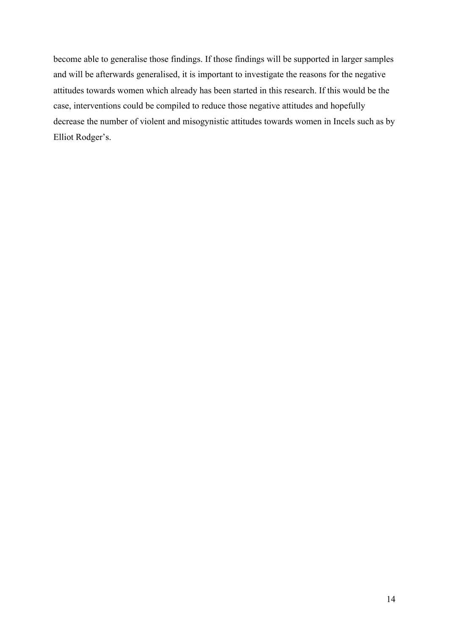become able to generalise those findings. If those findings will be supported in larger samples and will be afterwards generalised, it is important to investigate the reasons for the negative attitudes towards women which already has been started in this research. If this would be the case, interventions could be compiled to reduce those negative attitudes and hopefully decrease the number of violent and misogynistic attitudes towards women in Incels such as by Elliot Rodger's.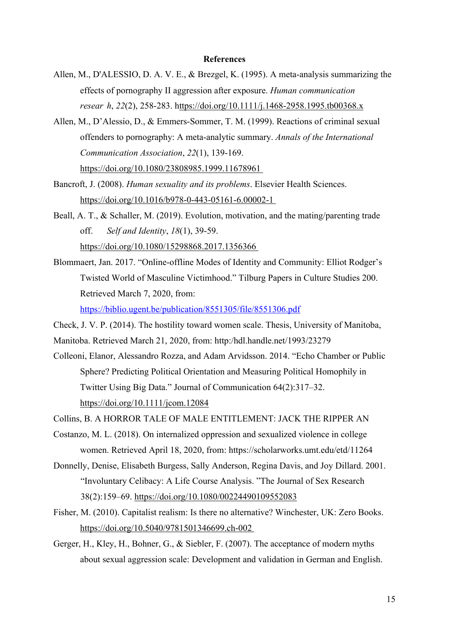#### **References**

- Allen, M., D'ALESSIO, D. A. V. E., & Brezgel, K. (1995). A meta‐analysis summarizing the effects of pornography II aggression after exposure. *Human communication resear h*, *22*(2), 258-283. https://doi.org/10.1111/j.1468-2958.1995.tb00368.x
- Allen, M., D'Alessio, D., & Emmers-Sommer, T. M. (1999). Reactions of criminal sexual offenders to pornography: A meta-analytic summary. *Annals of the International Communication Association*, *22*(1), 139-169.
	- https://doi.org/10.1080/23808985.1999.11678961
- Bancroft, J. (2008). *Human sexuality and its problems*. Elsevier Health Sciences. https://doi.org/10.1016/b978-0-443-05161-6.00002-1
- Beall, A. T., & Schaller, M. (2019). Evolution, motivation, and the mating/parenting trade off. *Self and Identity*, *18*(1), 39-59. https://doi.org/10.1080/15298868.2017.1356366
- Blommaert, Jan. 2017. "Online-offline Modes of Identity and Community: Elliot Rodger's Twisted World of Masculine Victimhood." Tilburg Papers in Culture Studies 200. Retrieved March 7, 2020, from: https://biblio.ugent.be/publication/8551305/file/8551306.pdf
- Check, J. V. P. (2014). The hostility toward women scale. Thesis, University of Manitoba,
- Manitoba. Retrieved March 21, 2020, from: http:/hdl.handle.net/1993/23279
- Colleoni, Elanor, Alessandro Rozza, and Adam Arvidsson. 2014. "Echo Chamber or Public Sphere? Predicting Political Orientation and Measuring Political Homophily in Twitter Using Big Data." Journal of Communication 64(2):317–32. https://doi.org/10.1111/jcom.12084
- Collins, B. A HORROR TALE OF MALE ENTITLEMENT: JACK THE RIPPER AN
- Costanzo, M. L. (2018). On internalized oppression and sexualized violence in college women. Retrieved April 18, 2020, from: https://scholarworks.umt.edu/etd/11264
- Donnelly, Denise, Elisabeth Burgess, Sally Anderson, Regina Davis, and Joy Dillard. 2001. "Involuntary Celibacy: A Life Course Analysis. "The Journal of Sex Research 38(2):159–69. https://doi.org/10.1080/00224490109552083
- Fisher, M. (2010). Capitalist realism: Is there no alternative? Winchester, UK: Zero Books. https://doi.org/10.5040/9781501346699.ch-002
- Gerger, H., Kley, H., Bohner, G., & Siebler, F. (2007). The acceptance of modern myths about sexual aggression scale: Development and validation in German and English.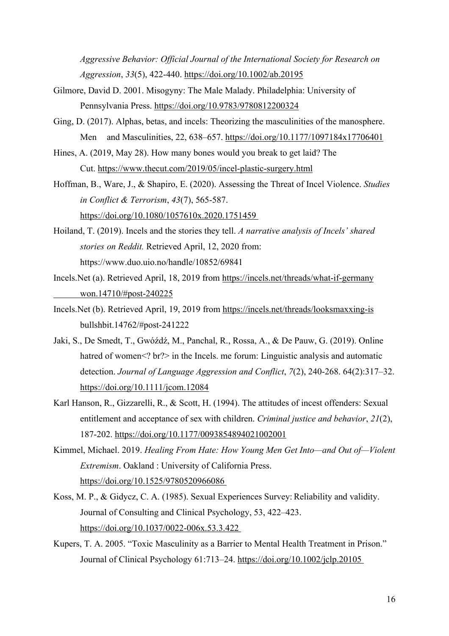*Aggressive Behavior: Official Journal of the International Society for Research on Aggression*, *33*(5), 422-440. https://doi.org/10.1002/ab.20195

- Gilmore, David D. 2001. Misogyny: The Male Malady. Philadelphia: University of Pennsylvania Press. https://doi.org/10.9783/9780812200324
- Ging, D. (2017). Alphas, betas, and incels: Theorizing the masculinities of the manosphere. Men and Masculinities, 22, 638–657. https://doi.org/10.1177/1097184x17706401
- Hines, A. (2019, May 28). How many bones would you break to get laid? The Cut. https://www.thecut.com/2019/05/incel-plastic-surgery.html
- Hoffman, B., Ware, J., & Shapiro, E. (2020). Assessing the Threat of Incel Violence. *Studies in Conflict & Terrorism*, *43*(7), 565-587. https://doi.org/10.1080/1057610x.2020.1751459
- Hoiland, T. (2019). Incels and the stories they tell. *A narrative analysis of Incels' shared stories on Reddit.* Retrieved April, 12, 2020 from: https://www.duo.uio.no/handle/10852/69841
- Incels.Net (a). Retrieved April, 18, 2019 from https://incels.net/threads/what-if-germany won.14710/#post-240225
- Incels.Net (b). Retrieved April, 19, 2019 from https://incels.net/threads/looksmaxxing-is bullshbit.14762/#post-241222
- Jaki, S., De Smedt, T., Gwóźdź, M., Panchal, R., Rossa, A., & De Pauw, G. (2019). Online hatred of women<? br?> in the Incels. me forum: Linguistic analysis and automatic detection. *Journal of Language Aggression and Conflict*, *7*(2), 240-268. 64(2):317–32. https://doi.org/10.1111/jcom.12084
- Karl Hanson, R., Gizzarelli, R., & Scott, H. (1994). The attitudes of incest offenders: Sexual entitlement and acceptance of sex with children. *Criminal justice and behavior*, *21*(2), 187-202. https://doi.org/10.1177/0093854894021002001
- Kimmel, Michael. 2019. *Healing From Hate: How Young Men Get Into—and Out of—Violent Extremism*. Oakland : University of California Press. https://doi.org/10.1525/9780520966086
- Koss, M. P., & Gidycz, C. A. (1985). Sexual Experiences Survey: Reliability and validity. Journal of Consulting and Clinical Psychology, 53, 422–423. https://doi.org/10.1037/0022-006x.53.3.422
- Kupers, T. A. 2005. "Toxic Masculinity as a Barrier to Mental Health Treatment in Prison." Journal of Clinical Psychology 61:713–24. https://doi.org/10.1002/jclp.20105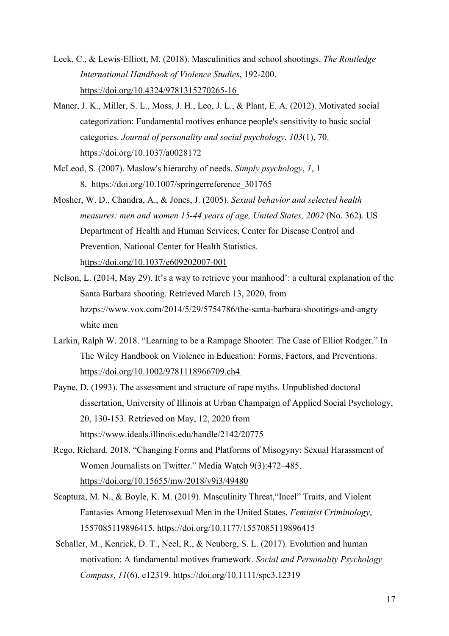- Leek, C., & Lewis-Elliott, M. (2018). Masculinities and school shootings. *The Routledge International Handbook of Violence Studies*, 192-200. https://doi.org/10.4324/9781315270265-16
- Maner, J. K., Miller, S. L., Moss, J. H., Leo, J. L., & Plant, E. A. (2012). Motivated social categorization: Fundamental motives enhance people's sensitivity to basic social categories. *Journal of personality and social psychology*, *103*(1), 70. https://doi.org/10.1037/a0028172
- McLeod, S. (2007). Maslow's hierarchy of needs. *Simply psychology*, *1*, 1 8. https://doi.org/10.1007/springerreference\_301765
- Mosher, W. D., Chandra, A., & Jones, J. (2005). *Sexual behavior and selected health measures: men and women 15-44 years of age, United States, 2002* (No. 362). US Department of Health and Human Services, Center for Disease Control and Prevention, National Center for Health Statistics. https://doi.org/10.1037/e609202007-001
- Nelson, L. (2014, May 29). It's a way to retrieve your manhood': a cultural explanation of the Santa Barbara shooting. Retrieved March 13, 2020, from hzzps://www.vox.com/2014/5/29/5754786/the-santa-barbara-shootings-and-angry white men
- Larkin, Ralph W. 2018. "Learning to be a Rampage Shooter: The Case of Elliot Rodger." In The Wiley Handbook on Violence in Education: Forms, Factors, and Preventions. https://doi.org/10.1002/9781118966709.ch4
- Payne, D. (1993). The assessment and structure of rape myths. Unpublished doctoral dissertation, University of Illinois at Urban Champaign of Applied Social Psychology, 20, 130-153. Retrieved on May, 12, 2020 from https://www.ideals.illinois.edu/handle/2142/20775
- Rego, Richard. 2018. "Changing Forms and Platforms of Misogyny: Sexual Harassment of Women Journalists on Twitter." Media Watch 9(3):472–485. https://doi.org/10.15655/mw/2018/v9i3/49480
- Scaptura, M. N., & Boyle, K. M. (2019). Masculinity Threat,"Incel" Traits, and Violent Fantasies Among Heterosexual Men in the United States. *Feminist Criminology*, 1557085119896415. https://doi.org/10.1177/1557085119896415
- Schaller, M., Kenrick, D. T., Neel, R., & Neuberg, S. L. (2017). Evolution and human motivation: A fundamental motives framework. *Social and Personality Psychology Compass*, *11*(6), e12319. https://doi.org/10.1111/spc3.12319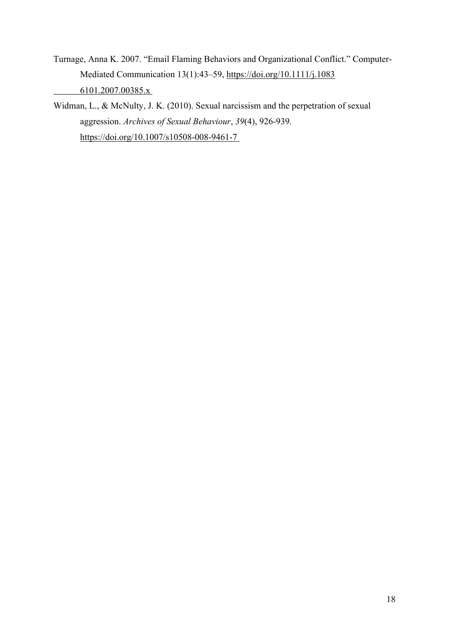- Turnage, Anna K. 2007. "Email Flaming Behaviors and Organizational Conflict." Computer-Mediated Communication 13(1):43–59, https://doi.org/10.1111/j.1083 6101.2007.00385.x
- Widman, L., & McNulty, J. K. (2010). Sexual narcissism and the perpetration of sexual aggression. *Archives of Sexual Behaviour*, *39*(4), 926-939. https://doi.org/10.1007/s10508-008-9461-7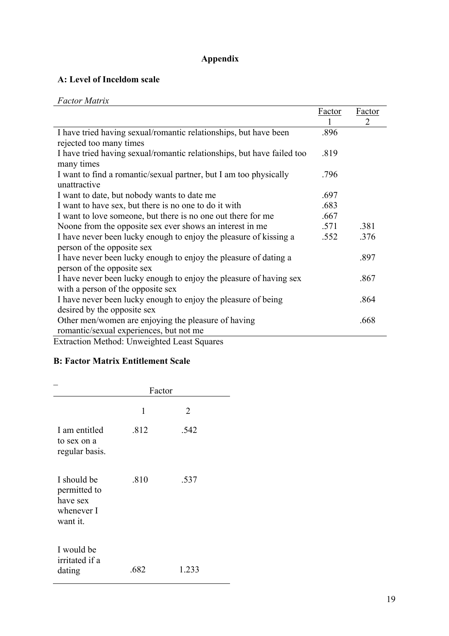# **Appendix**

### **A: Level of Inceldom scale**

| r acion mains                                                          |               |        |
|------------------------------------------------------------------------|---------------|--------|
|                                                                        | <b>Factor</b> | Factor |
|                                                                        |               | 2      |
| I have tried having sexual/romantic relationships, but have been       | .896          |        |
| rejected too many times                                                |               |        |
| I have tried having sexual/romantic relationships, but have failed too | .819          |        |
| many times                                                             |               |        |
| I want to find a romantic/sexual partner, but I am too physically      | .796          |        |
| unattractive                                                           |               |        |
| I want to date, but nobody wants to date me                            | .697          |        |
| I want to have sex, but there is no one to do it with                  | .683          |        |
| I want to love someone, but there is no one out there for me           | .667          |        |
| Noone from the opposite sex ever shows an interest in me               | .571          | .381   |
| I have never been lucky enough to enjoy the pleasure of kissing a      | .552          | .376   |
| person of the opposite sex                                             |               |        |
| I have never been lucky enough to enjoy the pleasure of dating a       |               | .897   |
| person of the opposite sex                                             |               |        |
| I have never been lucky enough to enjoy the pleasure of having sex     |               | .867   |
| with a person of the opposite sex                                      |               |        |
| I have never been lucky enough to enjoy the pleasure of being          |               | .864   |
| desired by the opposite sex                                            |               |        |
| Other men/women are enjoying the pleasure of having                    |               | .668   |
| romantic/sexual experiences, but not me                                |               |        |
| Extraction Method: Unweighted Least Squares                            |               |        |

Extraction Method: Unweighted Least Squares

## **B: Factor Matrix Entitlement Scale**

|                                                                   | Factor |       |  |  |  |  |
|-------------------------------------------------------------------|--------|-------|--|--|--|--|
|                                                                   | 1      | 2     |  |  |  |  |
| I am entitled<br>to sex on a<br>regular basis.                    | .812   | .542  |  |  |  |  |
| I should be<br>permitted to<br>have sex<br>whenever I<br>want it. | .810   | .537  |  |  |  |  |
| I would be<br>irritated if a<br>dating                            | .682   | 1.233 |  |  |  |  |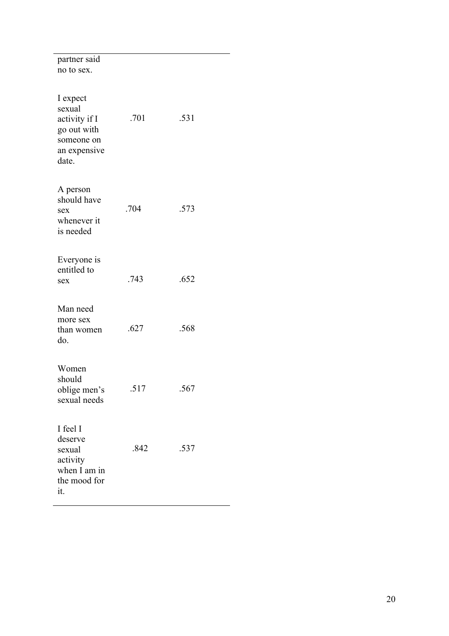| partner said<br>no to sex.                                                                |      |      |
|-------------------------------------------------------------------------------------------|------|------|
| I expect<br>sexual<br>activity if I<br>go out with<br>someone on<br>an expensive<br>date. | .701 | .531 |
| A person<br>should have<br>sex<br>whenever it<br>is needed                                | .704 | .573 |
| Everyone is<br>entitled to<br>sex                                                         | .743 | .652 |
| Man need<br>more sex<br>than women<br>do.                                                 | .627 | .568 |
| Women<br>should<br>oblige men's<br>sexual needs                                           | .517 | .567 |
| I feel I<br>deserve<br>sexual<br>activity<br>when I am in<br>the mood for<br>it.          | .842 | .537 |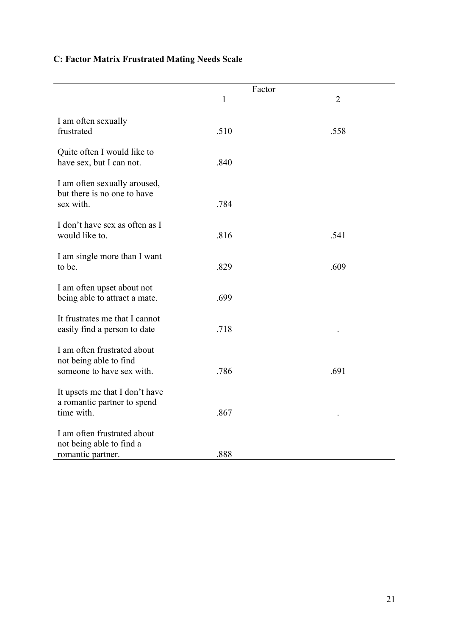# **C: Factor Matrix Frustrated Mating Needs Scale**

|                                                                                    | Factor |                |  |
|------------------------------------------------------------------------------------|--------|----------------|--|
|                                                                                    | 1      | $\overline{2}$ |  |
| I am often sexually<br>frustrated                                                  | .510   | .558           |  |
| Quite often I would like to<br>have sex, but I can not.                            | .840   |                |  |
| I am often sexually aroused,<br>but there is no one to have<br>sex with.           | .784   |                |  |
| I don't have sex as often as I<br>would like to.                                   | .816   | .541           |  |
| I am single more than I want<br>to be.                                             | .829   | .609           |  |
| I am often upset about not<br>being able to attract a mate.                        | .699   |                |  |
| It frustrates me that I cannot<br>easily find a person to date                     | .718   |                |  |
| I am often frustrated about<br>not being able to find<br>someone to have sex with. | .786   | .691           |  |
| It upsets me that I don't have<br>a romantic partner to spend<br>time with.        | .867   |                |  |
| I am often frustrated about<br>not being able to find a<br>romantic partner.       | .888   |                |  |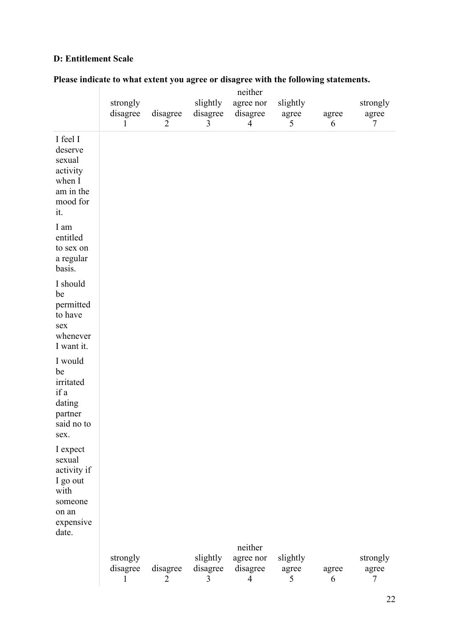### **D: Entitlement Scale**

|                                                                                                 |                                      |                            |                           | neither                               |                        |            |                        |
|-------------------------------------------------------------------------------------------------|--------------------------------------|----------------------------|---------------------------|---------------------------------------|------------------------|------------|------------------------|
|                                                                                                 | strongly<br>disagree<br>$\mathbf{1}$ | disagree<br>$\overline{2}$ | slightly<br>disagree<br>3 | agree nor<br>disagree<br>4            | slightly<br>agree<br>5 | agree<br>6 | strongly<br>agree<br>7 |
| I feel I<br>deserve<br>sexual<br>activity<br>when I<br>am in the<br>mood for<br>it.             |                                      |                            |                           |                                       |                        |            |                        |
| I am<br>entitled<br>to sex on<br>a regular<br>basis.                                            |                                      |                            |                           |                                       |                        |            |                        |
| I should<br>be<br>permitted<br>to have<br>sex<br>whenever<br>I want it.                         |                                      |                            |                           |                                       |                        |            |                        |
| I would<br>be<br>irritated<br>if a<br>dating<br>partner<br>said no to<br>sex.                   |                                      |                            |                           |                                       |                        |            |                        |
| I expect<br>sexual<br>activity if<br>I go out<br>with<br>someone<br>on an<br>expensive<br>date. |                                      |                            |                           |                                       |                        |            |                        |
|                                                                                                 | strongly<br>disagree<br>1            | disagree<br>2              | slightly<br>disagree<br>3 | neither<br>agree nor<br>disagree<br>4 | slightly<br>agree<br>5 | agree<br>6 | strongly<br>agree<br>7 |

# **Please indicate to what extent you agree or disagree with the following statements.**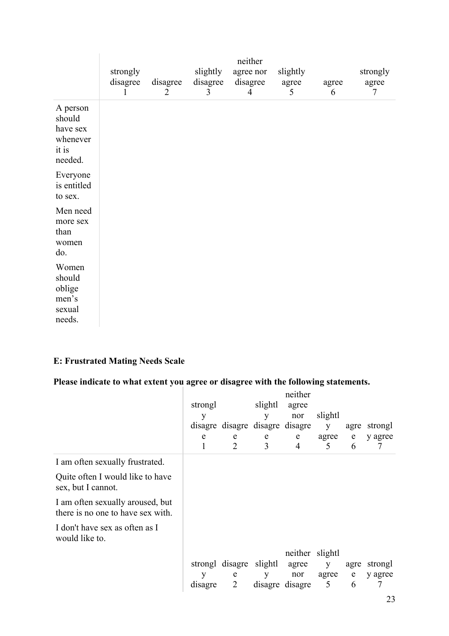|                                                                | strongly<br>disagree<br>1 | disagree<br>$\overline{2}$ | slightly<br>disagree<br>3 | neither<br>agree nor<br>disagree<br>$\overline{4}$ | slightly<br>agree<br>5 | agree<br>6 | strongly<br>agree<br>7 |
|----------------------------------------------------------------|---------------------------|----------------------------|---------------------------|----------------------------------------------------|------------------------|------------|------------------------|
| A person<br>should<br>have sex<br>whenever<br>it is<br>needed. |                           |                            |                           |                                                    |                        |            |                        |
| Everyone<br>is entitled<br>to sex.                             |                           |                            |                           |                                                    |                        |            |                        |
| Men need<br>more sex<br>than<br>women<br>do.                   |                           |                            |                           |                                                    |                        |            |                        |
| Women<br>should<br>oblige<br>men's<br>sexual<br>needs.         |                           |                            |                           |                                                    |                        |            |                        |

### **E: Frustrated Mating Needs Scale**

# **Please indicate to what extent you agree or disagree with the following statements.**

|                                                                       | strongl<br>у<br>e | disagre disagre disagre disagre<br>e<br>$\overline{2}$ | slightl<br>y<br>e<br>3 | neither<br>agree<br>nor<br>e<br>$\overline{4}$ | slightl<br>y<br>agree<br>5 | agre<br>e<br>6 | strongl<br>y agree<br>7 |
|-----------------------------------------------------------------------|-------------------|--------------------------------------------------------|------------------------|------------------------------------------------|----------------------------|----------------|-------------------------|
| I am often sexually frustrated.                                       |                   |                                                        |                        |                                                |                            |                |                         |
| Quite often I would like to have<br>sex, but I cannot.                |                   |                                                        |                        |                                                |                            |                |                         |
| I am often sexually aroused, but<br>there is no one to have sex with. |                   |                                                        |                        |                                                |                            |                |                         |
| I don't have sex as often as I<br>would like to.                      |                   |                                                        |                        |                                                |                            |                |                         |
|                                                                       |                   |                                                        |                        | neither slightl                                |                            |                |                         |
|                                                                       |                   | strongl disagre slightl agree                          |                        |                                                | y                          | agre           | strongl                 |
|                                                                       | y                 | e<br>2                                                 | У                      | nor                                            | agree<br>5                 | e              | y agree<br>7            |
|                                                                       | disagre           |                                                        |                        | disagre disagre                                |                            | 6              |                         |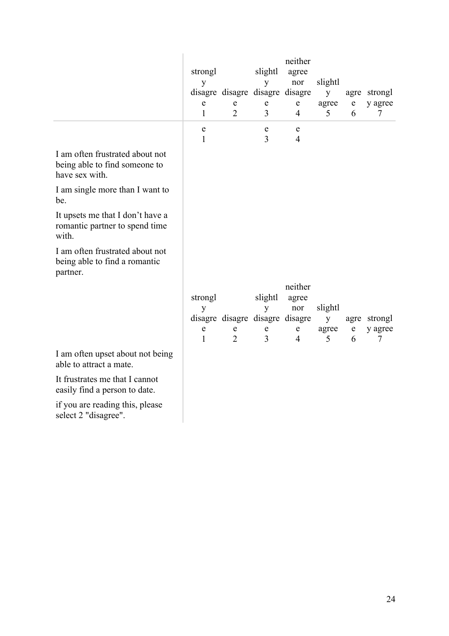|                                                                                    | strongl<br>y<br>e<br>1 | ${\bf e}$<br>2              | slightl<br>y<br>disagre disagre disagre disagre<br>${\bf e}$<br>3              | neither<br>agree<br>nor<br>${\bf e}$<br>$\overline{4}$ | slightl<br>y<br>agree<br>5 | ${\bf e}$<br>6   | agre strongl<br>y agree<br>7 |
|------------------------------------------------------------------------------------|------------------------|-----------------------------|--------------------------------------------------------------------------------|--------------------------------------------------------|----------------------------|------------------|------------------------------|
|                                                                                    | e<br>1                 |                             | $\mathbf e$<br>3                                                               | e<br>$\overline{4}$                                    |                            |                  |                              |
| I am often frustrated about not<br>being able to find someone to<br>have sex with. |                        |                             |                                                                                |                                                        |                            |                  |                              |
| I am single more than I want to<br>be.                                             |                        |                             |                                                                                |                                                        |                            |                  |                              |
| It upsets me that I don't have a<br>romantic partner to spend time<br>with.        |                        |                             |                                                                                |                                                        |                            |                  |                              |
| I am often frustrated about not<br>being able to find a romantic<br>partner.       |                        |                             |                                                                                |                                                        |                            |                  |                              |
|                                                                                    | strongl<br>y<br>e<br>1 | ${\bf e}$<br>$\overline{2}$ | slightl<br>y<br>disagre disagre disagre disagre<br>${\bf e}$<br>$\overline{3}$ | neither<br>agree<br>nor<br>${\bf e}$<br>$\overline{4}$ | slightl<br>y<br>agree<br>5 | $\mathbf e$<br>6 | agre strongl<br>y agree<br>7 |
| I am often upset about not being<br>able to attract a mate.                        |                        |                             |                                                                                |                                                        |                            |                  |                              |
| It frustrates me that I cannot<br>easily find a person to date.                    |                        |                             |                                                                                |                                                        |                            |                  |                              |

if you are reading this, please select 2 "disagree".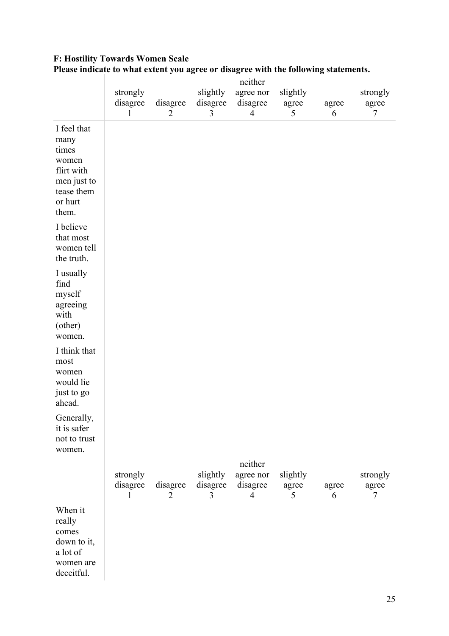|                                                                                                      | neither                              |               |                           |                                                    |                        |            |                        |  |
|------------------------------------------------------------------------------------------------------|--------------------------------------|---------------|---------------------------|----------------------------------------------------|------------------------|------------|------------------------|--|
|                                                                                                      | strongly<br>disagree<br>$\mathbf{1}$ | disagree<br>2 | slightly<br>disagree<br>3 | agree nor<br>disagree<br>$\overline{4}$            | slightly<br>agree<br>5 | agree<br>6 | strongly<br>agree<br>7 |  |
| I feel that<br>many<br>times<br>women<br>flirt with<br>men just to<br>tease them<br>or hurt<br>them. |                                      |               |                           |                                                    |                        |            |                        |  |
| I believe<br>that most<br>women tell<br>the truth.                                                   |                                      |               |                           |                                                    |                        |            |                        |  |
| I usually<br>find<br>myself<br>agreeing<br>with<br>(other)<br>women.                                 |                                      |               |                           |                                                    |                        |            |                        |  |
| I think that<br>most<br>women<br>would lie<br>just to go<br>ahead.                                   |                                      |               |                           |                                                    |                        |            |                        |  |
| Generally,<br>it is safer<br>not to trust<br>women.                                                  |                                      |               |                           |                                                    |                        |            |                        |  |
|                                                                                                      | strongly<br>disagree<br>1            | disagree<br>2 | slightly<br>disagree<br>3 | neither<br>agree nor<br>disagree<br>$\overline{4}$ | slightly<br>agree<br>5 | agree<br>6 | strongly<br>agree<br>7 |  |
| When it<br>really<br>comes<br>down to it,<br>a lot of<br>women are<br>deceitful.                     |                                      |               |                           |                                                    |                        |            |                        |  |

# **F: Hostility Towards Women Scale** Please indicate to what extent you agree or disagree with the following statements.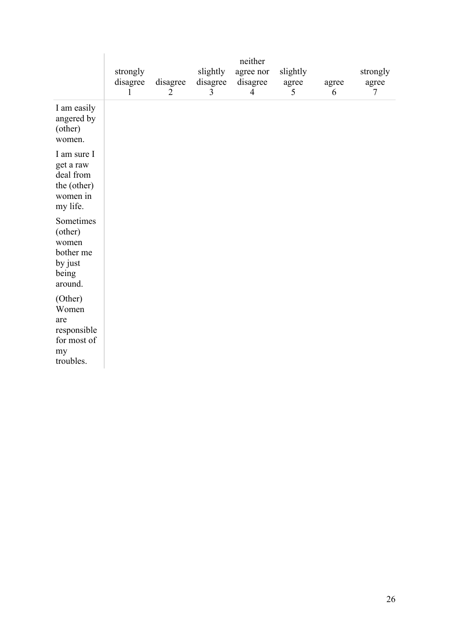|                                                                              | strongly<br>disagree<br>1 | disagree<br>2 | slightly<br>disagree<br>3 | neither<br>agree nor<br>disagree<br>$\overline{4}$ | slightly<br>agree<br>5 | agree<br>6 | strongly<br>agree<br>7 |
|------------------------------------------------------------------------------|---------------------------|---------------|---------------------------|----------------------------------------------------|------------------------|------------|------------------------|
| I am easily<br>angered by<br>(other)<br>women.                               |                           |               |                           |                                                    |                        |            |                        |
| I am sure I<br>get a raw<br>deal from<br>the (other)<br>women in<br>my life. |                           |               |                           |                                                    |                        |            |                        |
| Sometimes<br>(other)<br>women<br>bother me<br>by just<br>being<br>around.    |                           |               |                           |                                                    |                        |            |                        |
| (Other)<br>Women<br>are<br>responsible<br>for most of<br>my<br>troubles.     |                           |               |                           |                                                    |                        |            |                        |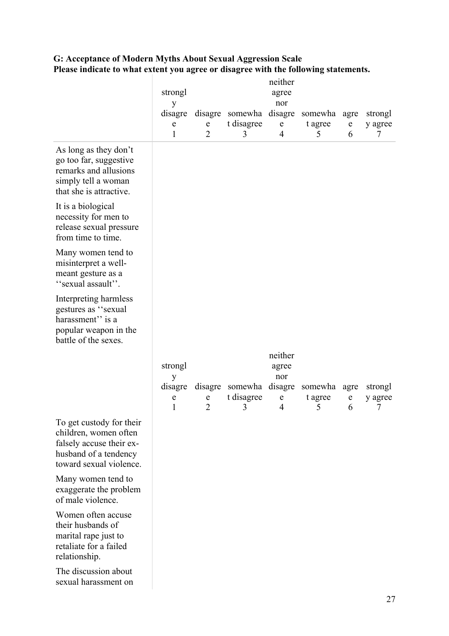|                                                                                                                                   | strongl<br>у<br>e<br>$\mathbf{1}$ | ${\bf e}$<br>$\overline{2}$   | disagre disagre somewha disagre somewha agre<br>t disagree<br>3 | neither<br>agree<br>nor<br>${\bf e}$<br>$\overline{4}$ | t agree<br>5 | ${\bf e}$<br>6           | strongl<br>y agree<br>7 |
|-----------------------------------------------------------------------------------------------------------------------------------|-----------------------------------|-------------------------------|-----------------------------------------------------------------|--------------------------------------------------------|--------------|--------------------------|-------------------------|
| As long as they don't<br>go too far, suggestive<br>remarks and allusions<br>simply tell a woman<br>that she is attractive.        |                                   |                               |                                                                 |                                                        |              |                          |                         |
| It is a biological<br>necessity for men to<br>release sexual pressure<br>from time to time.                                       |                                   |                               |                                                                 |                                                        |              |                          |                         |
| Many women tend to<br>misinterpret a well-<br>meant gesture as a<br>"sexual assault".                                             |                                   |                               |                                                                 |                                                        |              |                          |                         |
| Interpreting harmless<br>gestures as "sexual<br>harassment" is a<br>popular weapon in the<br>battle of the sexes.                 |                                   |                               |                                                                 |                                                        |              |                          |                         |
|                                                                                                                                   |                                   |                               |                                                                 | neither                                                |              |                          |                         |
|                                                                                                                                   | strongl<br>y                      |                               |                                                                 | agree<br>nor                                           |              |                          |                         |
|                                                                                                                                   | e<br>1                            | $\mathbf e$<br>$\overline{2}$ | disagre disagre somewha disagre somewha<br>t disagree<br>3      | ${\bf e}$<br>$\overline{4}$                            | t agree<br>5 | agre<br>$\mathbf e$<br>6 | strongl<br>y agree<br>7 |
| To get custody for their<br>children, women often<br>falsely accuse their ex-<br>husband of a tendency<br>toward sexual violence. |                                   |                               |                                                                 |                                                        |              |                          |                         |
| Many women tend to<br>exaggerate the problem<br>of male violence.                                                                 |                                   |                               |                                                                 |                                                        |              |                          |                         |
| Women often accuse<br>their husbands of<br>marital rape just to<br>retaliate for a failed<br>relationship.                        |                                   |                               |                                                                 |                                                        |              |                          |                         |
| The discussion about<br>sexual harassment on                                                                                      |                                   |                               |                                                                 |                                                        |              |                          |                         |

### **G: Acceptance of Modern Myths About Sexual Aggression Scale Please indicate to what extent you agree or disagree with the following statements.**